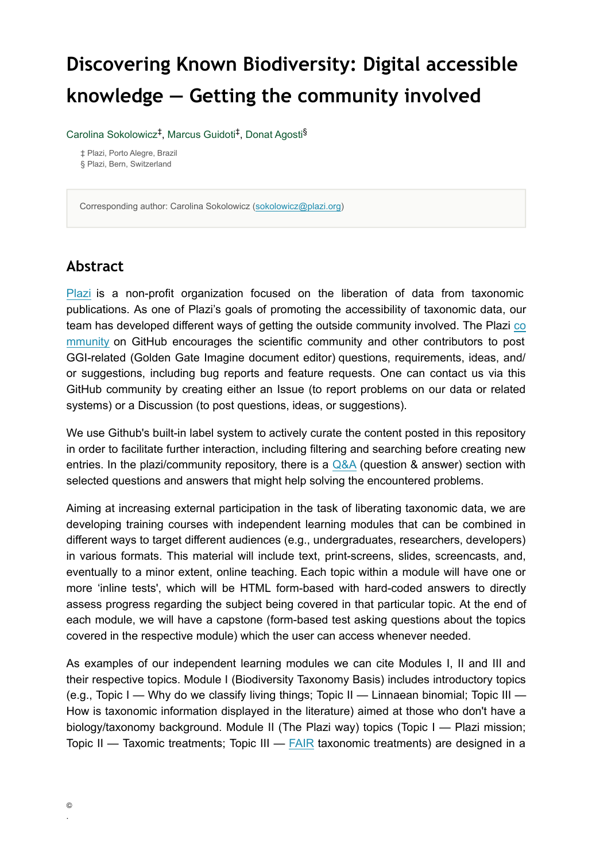# **Discovering Known Biodiversity: Digital accessible knowledge — Getting the community involved**

Carolina Sokolowicz<sup>‡</sup>, Marcus Guidoti<sup>‡</sup>, Donat Agosti<sup>§</sup>

‡ Plazi, Porto Alegre, Brazil § Plazi, Bern, Switzerland

Corresponding author: Carolina Sokolowicz ([sokolowicz@plazi.org](mailto:sokolowicz@plazi.org))

### **Abstract**

[Plazi](http://plazi.org/about/about-plazi/) is a non-profit organization focused on the liberation of data from taxonomic publications. As one of Plazi's goals of promoting the accessibility of taxonomic data, our team has developed different ways of getting the outside community involved. The Plazi [co](http://github.com/plazi/community) [mmunity](http://github.com/plazi/community) on GitHub encourages the scientific community and other contributors to post GGI-related (Golden Gate Imagine document editor) questions, requirements, ideas, and/ or suggestions, including bug reports and feature requests. One can contact us via this GitHub community by creating either an Issue (to report problems on our data or related systems) or a Discussion (to post questions, ideas, or suggestions).

We use Github's built-in label system to actively curate the content posted in this repository in order to facilitate further interaction, including filtering and searching before creating new entries. In the plazi/community repository, there is a  $Q&A$  (question  $&$  answer) section with selected questions and answers that might help solving the encountered problems.

Aiming at increasing external participation in the task of liberating taxonomic data, we are developing training courses with independent learning modules that can be combined in different ways to target different audiences (e.g., undergraduates, researchers, developers) in various formats. This material will include text, print-screens, slides, screencasts, and, eventually to a minor extent, online teaching. Each topic within a module will have one or more 'inline tests', which will be HTML form-based with hard-coded answers to directly assess progress regarding the subject being covered in that particular topic. At the end of each module, we will have a capstone (form-based test asking questions about the topics covered in the respective module) which the user can access whenever needed.

As examples of our independent learning modules we can cite Modules I, II and III and their respective topics. Module I (Biodiversity Taxonomy Basis) includes introductory topics (e.g., Topic I — Why do we classify living things; Topic II — Linnaean binomial; Topic III — How is taxonomic information displayed in the literature) aimed at those who don't have a biology/taxonomy background. Module II (The Plazi way) topics (Topic I — Plazi mission; Topic II — Taxomic treatments; Topic III —  $FAIR$  taxonomic treatments) are designed in a